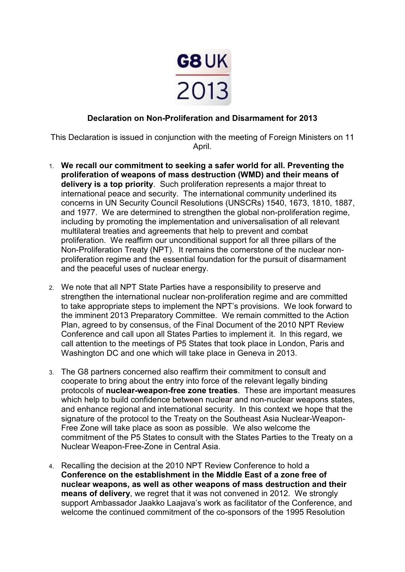

# **Declaration on Non-Proliferation and Disarmament for 2013**

This Declaration is issued in conjunction with the meeting of Foreign Ministers on 11 April.

- 1. **We recall our commitment to seeking a safer world for all. Preventing the proliferation of weapons of mass destruction (WMD) and their means of delivery is a top priority**. Such proliferation represents a major threat to international peace and security. The international community underlined its concerns in UN Security Council Resolutions (UNSCRs) 1540, 1673, 1810, 1887, and 1977. We are determined to strengthen the global non-proliferation regime, including by promoting the implementation and universalisation of all relevant multilateral treaties and agreements that help to prevent and combat proliferation. We reaffirm our unconditional support for all three pillars of the Non-Proliferation Treaty (NPT). It remains the cornerstone of the nuclear nonproliferation regime and the essential foundation for the pursuit of disarmament and the peaceful uses of nuclear energy.
- 2. We note that all NPT State Parties have a responsibility to preserve and strengthen the international nuclear non-proliferation regime and are committed to take appropriate steps to implement the NPT's provisions. We look forward to the imminent 2013 Preparatory Committee. We remain committed to the Action Plan, agreed to by consensus, of the Final Document of the 2010 NPT Review Conference and call upon all States Parties to implement it. In this regard, we call attention to the meetings of P5 States that took place in London, Paris and Washington DC and one which will take place in Geneva in 2013.
- 3. The G8 partners concerned also reaffirm their commitment to consult and cooperate to bring about the entry into force of the relevant legally binding protocols of **nuclear-weapon-free zone treaties**. These are important measures which help to build confidence between nuclear and non-nuclear weapons states, and enhance regional and international security. In this context we hope that the signature of the protocol to the Treaty on the Southeast Asia Nuclear-Weapon-Free Zone will take place as soon as possible. We also welcome the commitment of the P5 States to consult with the States Parties to the Treaty on a Nuclear Weapon-Free-Zone in Central Asia.
- 4. Recalling the decision at the 2010 NPT Review Conference to hold a **Conference on the establishment in the Middle East of a zone free of nuclear weapons, as well as other weapons of mass destruction and their means of delivery**, we regret that it was not convened in 2012. We strongly support Ambassador Jaakko Laajava's work as facilitator of the Conference, and welcome the continued commitment of the co-sponsors of the 1995 Resolution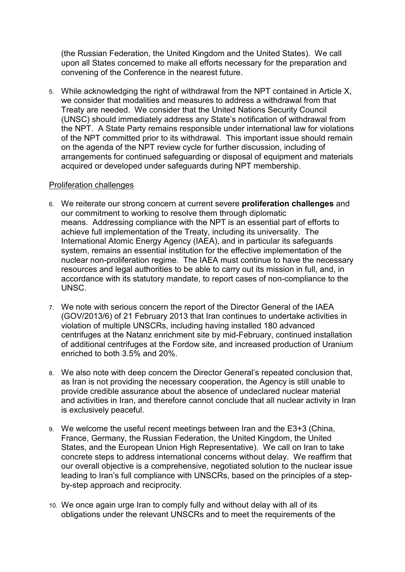(the Russian Federation, the United Kingdom and the United States). We call upon all States concerned to make all efforts necessary for the preparation and convening of the Conference in the nearest future.

5. While acknowledging the right of withdrawal from the NPT contained in Article X, we consider that modalities and measures to address a withdrawal from that Treaty are needed. We consider that the United Nations Security Council (UNSC) should immediately address any State's notification of withdrawal from the NPT. A State Party remains responsible under international law for violations of the NPT committed prior to its withdrawal. This important issue should remain on the agenda of the NPT review cycle for further discussion, including of arrangements for continued safeguarding or disposal of equipment and materials acquired or developed under safeguards during NPT membership.

### Proliferation challenges

- 6. We reiterate our strong concern at current severe **proliferation challenges** and our commitment to working to resolve them through diplomatic means. Addressing compliance with the NPT is an essential part of efforts to achieve full implementation of the Treaty, including its universality. The International Atomic Energy Agency (IAEA), and in particular its safeguards system, remains an essential institution for the effective implementation of the nuclear non-proliferation regime. The IAEA must continue to have the necessary resources and legal authorities to be able to carry out its mission in full, and, in accordance with its statutory mandate, to report cases of non-compliance to the UNSC.
- 7. We note with serious concern the report of the Director General of the IAEA (GOV/2013/6) of 21 February 2013 that Iran continues to undertake activities in violation of multiple UNSCRs, including having installed 180 advanced centrifuges at the Natanz enrichment site by mid-February, continued installation of additional centrifuges at the Fordow site, and increased production of Uranium enriched to both 3.5% and 20%.
- 8. We also note with deep concern the Director General's repeated conclusion that, as Iran is not providing the necessary cooperation, the Agency is still unable to provide credible assurance about the absence of undeclared nuclear material and activities in Iran, and therefore cannot conclude that all nuclear activity in Iran is exclusively peaceful.
- 9. We welcome the useful recent meetings between Iran and the E3+3 (China, France, Germany, the Russian Federation, the United Kingdom, the United States, and the European Union High Representative). We call on Iran to take concrete steps to address international concerns without delay. We reaffirm that our overall objective is a comprehensive, negotiated solution to the nuclear issue leading to Iran's full compliance with UNSCRs, based on the principles of a stepby-step approach and reciprocity.
- 10. We once again urge Iran to comply fully and without delay with all of its obligations under the relevant UNSCRs and to meet the requirements of the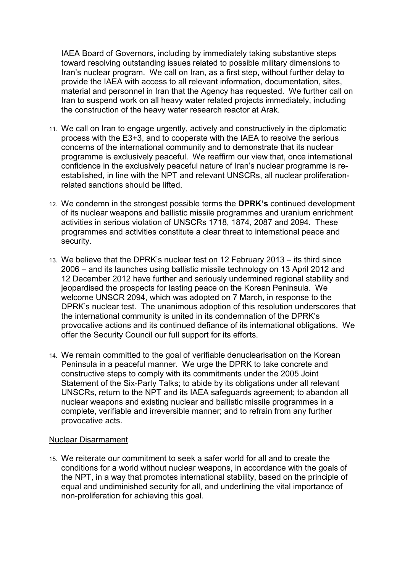IAEA Board of Governors, including by immediately taking substantive steps toward resolving outstanding issues related to possible military dimensions to Iran's nuclear program. We call on Iran, as a first step, without further delay to provide the IAEA with access to all relevant information, documentation, sites, material and personnel in Iran that the Agency has requested. We further call on Iran to suspend work on all heavy water related projects immediately, including the construction of the heavy water research reactor at Arak.

- 11. We call on Iran to engage urgently, actively and constructively in the diplomatic process with the E3+3, and to cooperate with the IAEA to resolve the serious concerns of the international community and to demonstrate that its nuclear programme is exclusively peaceful. We reaffirm our view that, once international confidence in the exclusively peaceful nature of Iran's nuclear programme is reestablished, in line with the NPT and relevant UNSCRs, all nuclear proliferationrelated sanctions should be lifted.
- 12. We condemn in the strongest possible terms the **DPRK's** continued development of its nuclear weapons and ballistic missile programmes and uranium enrichment activities in serious violation of UNSCRs 1718, 1874, 2087 and 2094. These programmes and activities constitute a clear threat to international peace and security.
- 13. We believe that the DPRK's nuclear test on 12 February 2013 its third since 2006 – and its launches using ballistic missile technology on 13 April 2012 and 12 December 2012 have further and seriously undermined regional stability and jeopardised the prospects for lasting peace on the Korean Peninsula. We welcome UNSCR 2094, which was adopted on 7 March, in response to the DPRK's nuclear test. The unanimous adoption of this resolution underscores that the international community is united in its condemnation of the DPRK's provocative actions and its continued defiance of its international obligations. We offer the Security Council our full support for its efforts.
- 14. We remain committed to the goal of verifiable denuclearisation on the Korean Peninsula in a peaceful manner. We urge the DPRK to take concrete and constructive steps to comply with its commitments under the 2005 Joint Statement of the Six-Party Talks; to abide by its obligations under all relevant UNSCRs, return to the NPT and its IAEA safeguards agreement; to abandon all nuclear weapons and existing nuclear and ballistic missile programmes in a complete, verifiable and irreversible manner; and to refrain from any further provocative acts.

### Nuclear Disarmament

15. We reiterate our commitment to seek a safer world for all and to create the conditions for a world without nuclear weapons, in accordance with the goals of the NPT, in a way that promotes international stability, based on the principle of equal and undiminished security for all, and underlining the vital importance of non-proliferation for achieving this goal.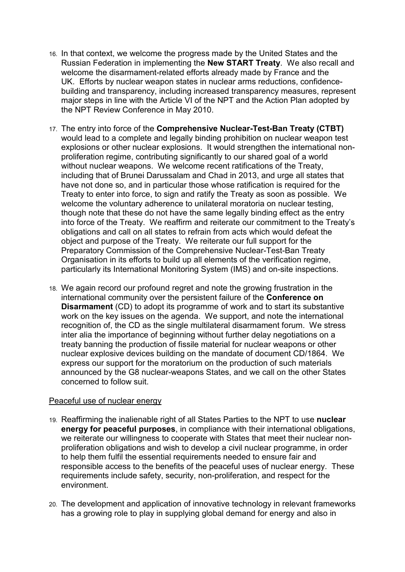- 16. In that context, we welcome the progress made by the United States and the Russian Federation in implementing the **New START Treaty**. We also recall and welcome the disarmament-related efforts already made by France and the UK. Efforts by nuclear weapon states in nuclear arms reductions, confidencebuilding and transparency, including increased transparency measures, represent major steps in line with the Article VI of the NPT and the Action Plan adopted by the NPT Review Conference in May 2010.
- 17. The entry into force of the **Comprehensive Nuclear-Test-Ban Treaty (CTBT)** would lead to a complete and legally binding prohibition on nuclear weapon test explosions or other nuclear explosions. It would strengthen the international nonproliferation regime, contributing significantly to our shared goal of a world without nuclear weapons. We welcome recent ratifications of the Treaty, including that of Brunei Darussalam and Chad in 2013, and urge all states that have not done so, and in particular those whose ratification is required for the Treaty to enter into force, to sign and ratify the Treaty as soon as possible. We welcome the voluntary adherence to unilateral moratoria on nuclear testing, though note that these do not have the same legally binding effect as the entry into force of the Treaty. We reaffirm and reiterate our commitment to the Treaty's obligations and call on all states to refrain from acts which would defeat the object and purpose of the Treaty. We reiterate our full support for the Preparatory Commission of the Comprehensive Nuclear-Test-Ban Treaty Organisation in its efforts to build up all elements of the verification regime, particularly its International Monitoring System (IMS) and on-site inspections.
- 18. We again record our profound regret and note the growing frustration in the international community over the persistent failure of the **Conference on Disarmament** (CD) to adopt its programme of work and to start its substantive work on the key issues on the agenda. We support, and note the international recognition of, the CD as the single multilateral disarmament forum. We stress inter alia the importance of beginning without further delay negotiations on a treaty banning the production of fissile material for nuclear weapons or other nuclear explosive devices building on the mandate of document CD/1864. We express our support for the moratorium on the production of such materials announced by the G8 nuclear-weapons States, and we call on the other States concerned to follow suit.

### Peaceful use of nuclear energy

- 19. Reaffirming the inalienable right of all States Parties to the NPT to use **nuclear energy for peaceful purposes**, in compliance with their international obligations, we reiterate our willingness to cooperate with States that meet their nuclear nonproliferation obligations and wish to develop a civil nuclear programme, in order to help them fulfil the essential requirements needed to ensure fair and responsible access to the benefits of the peaceful uses of nuclear energy. These requirements include safety, security, non-proliferation, and respect for the environment.
- 20. The development and application of innovative technology in relevant frameworks has a growing role to play in supplying global demand for energy and also in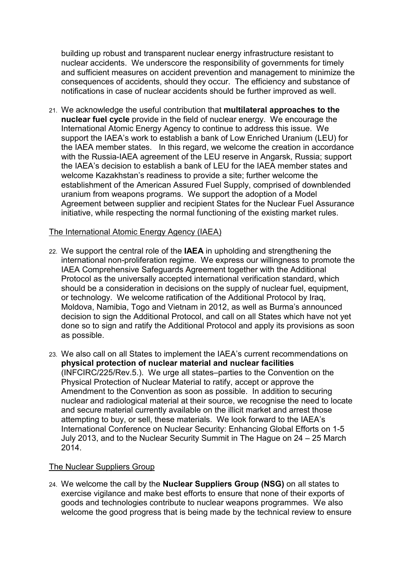building up robust and transparent nuclear energy infrastructure resistant to nuclear accidents. We underscore the responsibility of governments for timely and sufficient measures on accident prevention and management to minimize the consequences of accidents, should they occur. The efficiency and substance of notifications in case of nuclear accidents should be further improved as well.

21. We acknowledge the useful contribution that **multilateral approaches to the nuclear fuel cycle** provide in the field of nuclear energy. We encourage the International Atomic Energy Agency to continue to address this issue. We support the IAEA's work to establish a bank of Low Enriched Uranium (LEU) for the IAEA member states. In this regard, we welcome the creation in accordance with the Russia-IAEA agreement of the LEU reserve in Angarsk, Russia; support the IAEA's decision to establish a bank of LEU for the IAEA member states and welcome Kazakhstan's readiness to provide a site; further welcome the establishment of the American Assured Fuel Supply, comprised of downblended uranium from weapons programs.We support the adoption of a Model Agreement between supplier and recipient States for the Nuclear Fuel Assurance initiative, while respecting the normal functioning of the existing market rules.

### The International Atomic Energy Agency (IAEA)

- 22. We support the central role of the **IAEA** in upholding and strengthening the international non-proliferation regime. We express our willingness to promote the IAEA Comprehensive Safeguards Agreement together with the Additional Protocol as the universally accepted international verification standard, which should be a consideration in decisions on the supply of nuclear fuel, equipment, or technology. We welcome ratification of the Additional Protocol by Iraq, Moldova, Namibia, Togo and Vietnam in 2012, as well as Burma's announced decision to sign the Additional Protocol, and call on all States which have not yet done so to sign and ratify the Additional Protocol and apply its provisions as soon as possible.
- 23. We also call on all States to implement the IAEA's current recommendations on **physical protection of nuclear material and nuclear facilities** (INFCIRC/225/Rev.5.). We urge all states–parties to the Convention on the Physical Protection of Nuclear Material to ratify, accept or approve the Amendment to the Convention as soon as possible. In addition to securing nuclear and radiological material at their source, we recognise the need to locate and secure material currently available on the illicit market and arrest those attempting to buy, or sell, these materials. We look forward to the IAEA's International Conference on Nuclear Security: Enhancing Global Efforts on 1-5 July 2013, and to the Nuclear Security Summit in The Hague on 24 – 25 March 2014.

### The Nuclear Suppliers Group

24. We welcome the call by the **Nuclear Suppliers Group (NSG)** on all states to exercise vigilance and make best efforts to ensure that none of their exports of goods and technologies contribute to nuclear weapons programmes. We also welcome the good progress that is being made by the technical review to ensure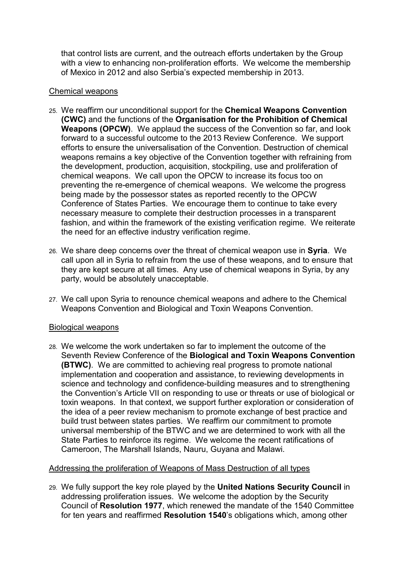that control lists are current, and the outreach efforts undertaken by the Group with a view to enhancing non-proliferation efforts. We welcome the membership of Mexico in 2012 and also Serbia's expected membership in 2013.

## Chemical weapons

- 25. We reaffirm our unconditional support for the **Chemical Weapons Convention (CWC)** and the functions of the **Organisation for the Prohibition of Chemical Weapons (OPCW)**. We applaud the success of the Convention so far, and look forward to a successful outcome to the 2013 Review Conference. We support efforts to ensure the universalisation of the Convention. Destruction of chemical weapons remains a key objective of the Convention together with refraining from the development, production, acquisition, stockpiling, use and proliferation of chemical weapons. We call upon the OPCW to increase its focus too on preventing the re-emergence of chemical weapons. We welcome the progress being made by the possessor states as reported recently to the OPCW Conference of States Parties. We encourage them to continue to take every necessary measure to complete their destruction processes in a transparent fashion, and within the framework of the existing verification regime. We reiterate the need for an effective industry verification regime.
- 26. We share deep concerns over the threat of chemical weapon use in **Syria**. We call upon all in Syria to refrain from the use of these weapons, and to ensure that they are kept secure at all times. Any use of chemical weapons in Syria, by any party, would be absolutely unacceptable.
- 27. We call upon Syria to renounce chemical weapons and adhere to the Chemical Weapons Convention and Biological and Toxin Weapons Convention.

## Biological weapons

28. We welcome the work undertaken so far to implement the outcome of the Seventh Review Conference of the **Biological and Toxin Weapons Convention (BTWC)**. We are committed to achieving real progress to promote national implementation and cooperation and assistance, to reviewing developments in science and technology and confidence-building measures and to strengthening the Convention's Article VII on responding to use or threats or use of biological or toxin weapons. In that context, we support further exploration or consideration of the idea of a peer review mechanism to promote exchange of best practice and build trust between states parties. We reaffirm our commitment to promote universal membership of the BTWC and we are determined to work with all the State Parties to reinforce its regime. We welcome the recent ratifications of Cameroon, The Marshall Islands, Nauru, Guyana and Malawi.

## Addressing the proliferation of Weapons of Mass Destruction of all types

29. We fully support the key role played by the **United Nations Security Council** in addressing proliferation issues. We welcome the adoption by the Security Council of **Resolution 1977**, which renewed the mandate of the 1540 Committee for ten years and reaffirmed **Resolution 1540**'s obligations which, among other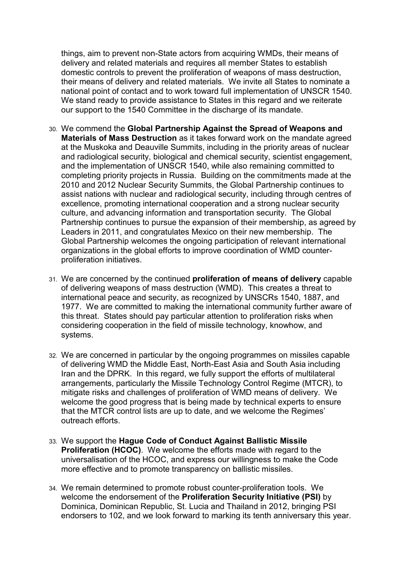things, aim to prevent non-State actors from acquiring WMDs, their means of delivery and related materials and requires all member States to establish domestic controls to prevent the proliferation of weapons of mass destruction, their means of delivery and related materials. We invite all States to nominate a national point of contact and to work toward full implementation of UNSCR 1540. We stand ready to provide assistance to States in this regard and we reiterate our support to the 1540 Committee in the discharge of its mandate.

- 30. We commend the **Global Partnership Against the Spread of Weapons and Materials of Mass Destruction** as it takes forward work on the mandate agreed at the Muskoka and Deauville Summits, including in the priority areas of nuclear and radiological security, biological and chemical security, scientist engagement, and the implementation of UNSCR 1540, while also remaining committed to completing priority projects in Russia. Building on the commitments made at the 2010 and 2012 Nuclear Security Summits, the Global Partnership continues to assist nations with nuclear and radiological security, including through centres of excellence, promoting international cooperation and a strong nuclear security culture, and advancing information and transportation security. The Global Partnership continues to pursue the expansion of their membership, as agreed by Leaders in 2011, and congratulates Mexico on their new membership. The Global Partnership welcomes the ongoing participation of relevant international organizations in the global efforts to improve coordination of WMD counterproliferation initiatives.
- 31. We are concerned by the continued **proliferation of means of delivery** capable of delivering weapons of mass destruction (WMD). This creates a threat to international peace and security, as recognized by UNSCRs 1540, 1887, and 1977. We are committed to making the international community further aware of this threat. States should pay particular attention to proliferation risks when considering cooperation in the field of missile technology, knowhow, and systems.
- 32. We are concerned in particular by the ongoing programmes on missiles capable of delivering WMD the Middle East, North-East Asia and South Asia including Iran and the DPRK. In this regard, we fully support the efforts of multilateral arrangements, particularly the Missile Technology Control Regime (MTCR), to mitigate risks and challenges of proliferation of WMD means of delivery. We welcome the good progress that is being made by technical experts to ensure that the MTCR control lists are up to date, and we welcome the Regimes' outreach efforts.
- 33. We support the **Hague Code of Conduct Against Ballistic Missile Proliferation (HCOC).** We welcome the efforts made with regard to the universalisation of the HCOC, and express our willingness to make the Code more effective and to promote transparency on ballistic missiles.
- 34. We remain determined to promote robust counter-proliferation tools. We welcome the endorsement of the **Proliferation Security Initiative (PSI)** by Dominica, Dominican Republic, St. Lucia and Thailand in 2012, bringing PSI endorsers to 102, and we look forward to marking its tenth anniversary this year.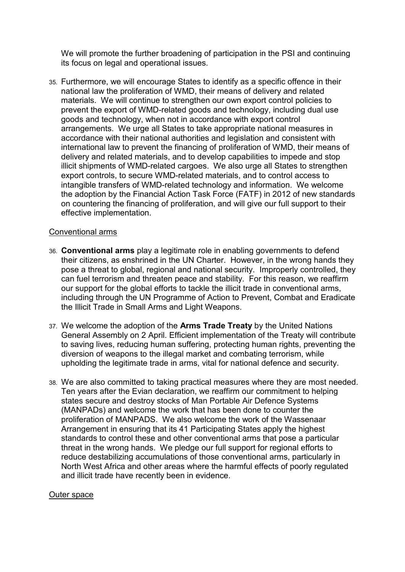We will promote the further broadening of participation in the PSI and continuing its focus on legal and operational issues.

35. Furthermore, we will encourage States to identify as a specific offence in their national law the proliferation of WMD, their means of delivery and related materials. We will continue to strengthen our own export control policies to prevent the export of WMD-related goods and technology, including dual use goods and technology, when not in accordance with export control arrangements. We urge all States to take appropriate national measures in accordance with their national authorities and legislation and consistent with international law to prevent the financing of proliferation of WMD, their means of delivery and related materials, and to develop capabilities to impede and stop illicit shipments of WMD-related cargoes. We also urge all States to strengthen export controls, to secure WMD-related materials, and to control access to intangible transfers of WMD-related technology and information. We welcome the adoption by the Financial Action Task Force (FATF) in 2012 of new standards on countering the financing of proliferation, and will give our full support to their effective implementation.

### Conventional arms

- 36. **Conventional arms** play a legitimate role in enabling governments to defend their citizens, as enshrined in the UN Charter. However, in the wrong hands they pose a threat to global, regional and national security. Improperly controlled, they can fuel terrorism and threaten peace and stability. For this reason, we reaffirm our support for the global efforts to tackle the illicit trade in conventional arms, including through the UN Programme of Action to Prevent, Combat and Eradicate the Illicit Trade in Small Arms and Light Weapons.
- 37. We welcome the adoption of the **Arms Trade Treaty** by the United Nations General Assembly on 2 April. Efficient implementation of the Treaty will contribute to saving lives, reducing human suffering, protecting human rights, preventing the diversion of weapons to the illegal market and combating terrorism, while upholding the legitimate trade in arms, vital for national defence and security.
- 38. We are also committed to taking practical measures where they are most needed. Ten years after the Evian declaration, we reaffirm our commitment to helping states secure and destroy stocks of Man Portable Air Defence Systems (MANPADs) and welcome the work that has been done to counter the proliferation of MANPADS. We also welcome the work of the Wassenaar Arrangement in ensuring that its 41 Participating States apply the highest standards to control these and other conventional arms that pose a particular threat in the wrong hands. We pledge our full support for regional efforts to reduce destabilizing accumulations of those conventional arms, particularly in North West Africa and other areas where the harmful effects of poorly regulated and illicit trade have recently been in evidence.

### Outer space